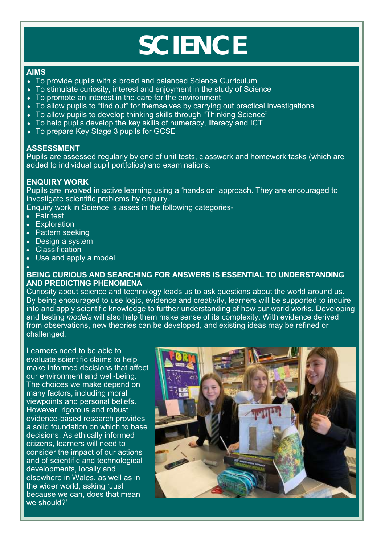# **SCIENCE**

### **AIMS**

- To provide pupils with a broad and balanced Science Curriculum
- To stimulate curiosity, interest and enjoyment in the study of Science
- To promote an interest in the care for the environment
- To allow pupils to "find out" for themselves by carrying out practical investigations
- ◆ To allow pupils to develop thinking skills through "Thinking Science"
- To help pupils develop the key skills of numeracy, literacy and ICT
- ◆ To prepare Key Stage 3 pupils for GCSE

## **ASSESSMENT**

Pupils are assessed regularly by end of unit tests, classwork and homework tasks (which are added to individual pupil portfolios) and examinations.

# **ENQUIRY WORK**

Pupils are involved in active learning using a 'hands on' approach. They are encouraged to investigate scientific problems by enquiry.

Enquiry work in Science is asses in the following categories-

- Fair test
- Exploration
- Pattern seeking
- Design a system
- Classification
- Use and apply a model

#### • **BEING CURIOUS AND SEARCHING FOR ANSWERS IS ESSENTIAL TO UNDERSTANDING AND PREDICTING PHENOMENA**

Curiosity about science and technology leads us to ask questions about the world around us. By being encouraged to use logic, evidence and creativity, learners will be supported to inquire into and apply scientific knowledge to further understanding of how our world works. Developing and testing *models* will also help them make sense of its complexity. With evidence derived from observations, new theories can be developed, and existing ideas may be refined or challenged.

Learners need to be able to evaluate scientific claims to help make informed decisions that affect our environment and well-being. The choices we make depend on many factors, including moral viewpoints and personal beliefs. However, rigorous and robust evidence-based research provides a solid foundation on which to base decisions. As ethically informed citizens, learners will need to consider the impact of our actions and of scientific and technological developments, locally and elsewhere in Wales, as well as in the wider world, asking 'Just because we can, does that mean we should?'